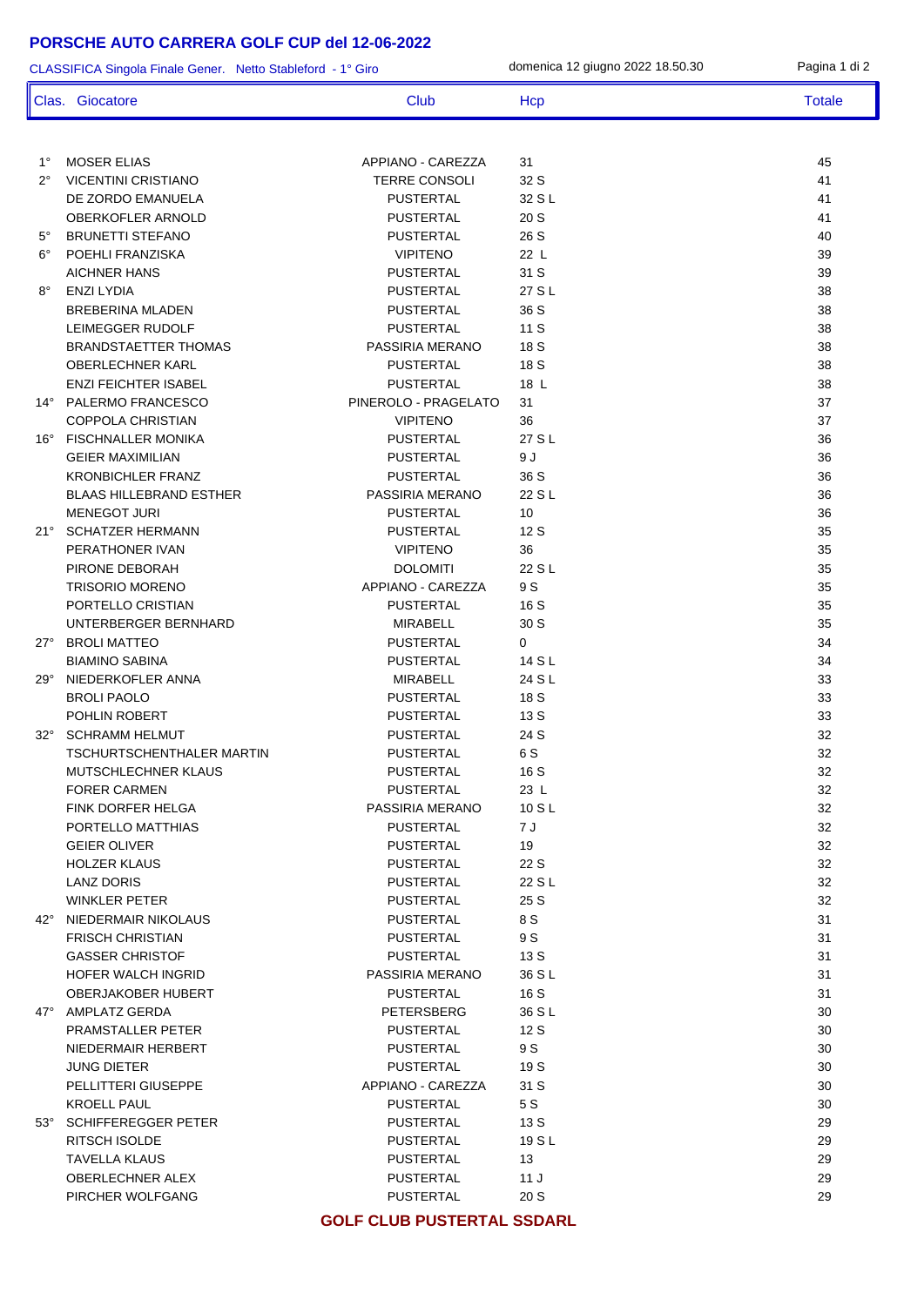## **PORSCHE AUTO CARRERA GOLF CUP del 12-06-2022**

| CLASSIFICA Singola Finale Gener. Netto Stableford - 1° Giro |                                |                      | domenica 12 giugno 2022 18.50.30 | Pagina 1 di 2 |
|-------------------------------------------------------------|--------------------------------|----------------------|----------------------------------|---------------|
|                                                             | Clas. Giocatore                | Club                 | Hcp                              | <b>Totale</b> |
|                                                             |                                |                      |                                  |               |
| $1^{\circ}$                                                 | <b>MOSER ELIAS</b>             | APPIANO - CAREZZA    | 31                               | 45            |
| $2^{\circ}$                                                 | <b>VICENTINI CRISTIANO</b>     | <b>TERRE CONSOLI</b> | 32 S                             | 41            |
|                                                             | DE ZORDO EMANUELA              | <b>PUSTERTAL</b>     | 32 S L                           | 41            |
|                                                             | <b>OBERKOFLER ARNOLD</b>       | <b>PUSTERTAL</b>     | 20 S                             | 41            |
| $5^{\circ}$                                                 | <b>BRUNETTI STEFANO</b>        | <b>PUSTERTAL</b>     | 26 S                             | 40            |
| $6^{\circ}$                                                 | POEHLI FRANZISKA               | <b>VIPITENO</b>      | 22 L                             | 39            |
| 8°                                                          | <b>AICHNER HANS</b>            | <b>PUSTERTAL</b>     | 31 S                             | 39            |
|                                                             | ENZI LYDIA                     | <b>PUSTERTAL</b>     | 27 S L                           | 38            |
|                                                             | BREBERINA MLADEN               | <b>PUSTERTAL</b>     | 36 S                             | 38            |
|                                                             | LEIMEGGER RUDOLF               | <b>PUSTERTAL</b>     | 11S                              | 38            |
|                                                             | <b>BRANDSTAETTER THOMAS</b>    | PASSIRIA MERANO      | 18 S                             | 38            |
|                                                             | <b>OBERLECHNER KARL</b>        | <b>PUSTERTAL</b>     | 18 S                             | 38            |
|                                                             | <b>ENZI FEICHTER ISABEL</b>    | <b>PUSTERTAL</b>     | 18 L                             | 38            |
|                                                             | 14° PALERMO FRANCESCO          | PINEROLO - PRAGELATO | 31                               | 37            |
|                                                             | <b>COPPOLA CHRISTIAN</b>       | <b>VIPITENO</b>      | 36                               | 37            |
|                                                             | 16° FISCHNALLER MONIKA         | <b>PUSTERTAL</b>     | 27 S L                           | 36            |
|                                                             | <b>GEIER MAXIMILIAN</b>        | <b>PUSTERTAL</b>     | 9 J                              | 36            |
|                                                             | <b>KRONBICHLER FRANZ</b>       | <b>PUSTERTAL</b>     | 36 S                             | 36            |
|                                                             | <b>BLAAS HILLEBRAND ESTHER</b> | PASSIRIA MERANO      | 22 S L                           | 36            |
|                                                             | <b>MENEGOT JURI</b>            | <b>PUSTERTAL</b>     | 10                               | 36            |
|                                                             | 21° SCHATZER HERMANN           | <b>PUSTERTAL</b>     | 12 S                             | 35            |
|                                                             | PERATHONER IVAN                | <b>VIPITENO</b>      | 36                               | 35            |
|                                                             | PIRONE DEBORAH                 | <b>DOLOMITI</b>      | 22 S L                           | 35            |
|                                                             | <b>TRISORIO MORENO</b>         | APPIANO - CAREZZA    | 9 S                              | 35            |
|                                                             | PORTELLO CRISTIAN              | <b>PUSTERTAL</b>     | 16 S                             | 35            |
|                                                             | UNTERBERGER BERNHARD           | MIRABELL             | 30 S                             | 35            |
|                                                             | 27° BROLI MATTEO               | <b>PUSTERTAL</b>     | 0                                | 34            |
|                                                             | <b>BIAMINO SABINA</b>          | <b>PUSTERTAL</b>     | 14 S L                           | 34            |
| 29°                                                         | NIEDERKOFLER ANNA              | MIRABELL             | 24 S L                           | 33            |
|                                                             | <b>BROLI PAOLO</b>             | <b>PUSTERTAL</b>     | 18 S                             | 33            |
|                                                             | POHLIN ROBERT                  | PUSTERTAL            | 13 S                             | 33            |
| $32^\circ$                                                  | <b>SCHRAMM HELMUT</b>          | <b>PUSTERTAL</b>     | 24 S                             | 32            |
|                                                             | TSCHURTSCHENTHALER MARTIN      | <b>PUSTERTAL</b>     | 6 S                              | 32            |
|                                                             | MUTSCHLECHNER KLAUS            | <b>PUSTERTAL</b>     | 16 S                             | 32            |
|                                                             | <b>FORER CARMEN</b>            | <b>PUSTERTAL</b>     | 23 L                             | 32            |
|                                                             | FINK DORFER HELGA              | PASSIRIA MERANO      | 10 S L                           | 32            |
|                                                             | PORTELLO MATTHIAS              | <b>PUSTERTAL</b>     | 7 J                              | 32            |
|                                                             | <b>GEIER OLIVER</b>            | <b>PUSTERTAL</b>     | 19                               | 32            |
|                                                             | <b>HOLZER KLAUS</b>            | <b>PUSTERTAL</b>     | 22 S                             | 32            |
|                                                             | LANZ DORIS                     | <b>PUSTERTAL</b>     | 22 S L                           | 32            |
|                                                             | <b>WINKLER PETER</b>           | <b>PUSTERTAL</b>     | 25 S                             | 32            |
|                                                             | 42° NIEDERMAIR NIKOLAUS        | <b>PUSTERTAL</b>     | 8 S                              | 31            |
|                                                             | <b>FRISCH CHRISTIAN</b>        | <b>PUSTERTAL</b>     | 9 S                              | 31            |
|                                                             | <b>GASSER CHRISTOF</b>         | <b>PUSTERTAL</b>     | 13S                              | 31            |
|                                                             | HOFER WALCH INGRID             | PASSIRIA MERANO      | 36 S L                           | 31            |
|                                                             | <b>OBERJAKOBER HUBERT</b>      | <b>PUSTERTAL</b>     | 16 S                             | 31            |
|                                                             | 47° AMPLATZ GERDA              | PETERSBERG           | 36 S L                           | 30            |
|                                                             | PRAMSTALLER PETER              | <b>PUSTERTAL</b>     | 12S                              | 30            |
|                                                             | NIEDERMAIR HERBERT             | <b>PUSTERTAL</b>     | 9 S                              | 30            |
|                                                             | <b>JUNG DIETER</b>             | <b>PUSTERTAL</b>     | 19 S                             | 30            |
|                                                             | PELLITTERI GIUSEPPE            | APPIANO - CAREZZA    | 31 S                             | 30            |
|                                                             | <b>KROELL PAUL</b>             | <b>PUSTERTAL</b>     | 5 S                              | 30            |
|                                                             | 53° SCHIFFEREGGER PETER        | <b>PUSTERTAL</b>     | 13 S                             | 29            |
|                                                             | RITSCH ISOLDE                  | <b>PUSTERTAL</b>     | 19 S L                           | 29            |
|                                                             | <b>TAVELLA KLAUS</b>           | <b>PUSTERTAL</b>     | 13                               | 29            |
|                                                             | OBERLECHNER ALEX               | <b>PUSTERTAL</b>     | 11J                              | 29            |
|                                                             | PIRCHER WOLFGANG               | <b>PUSTERTAL</b>     | 20 S                             | 29            |

**GOLF CLUB PUSTERTAL SSDARL**